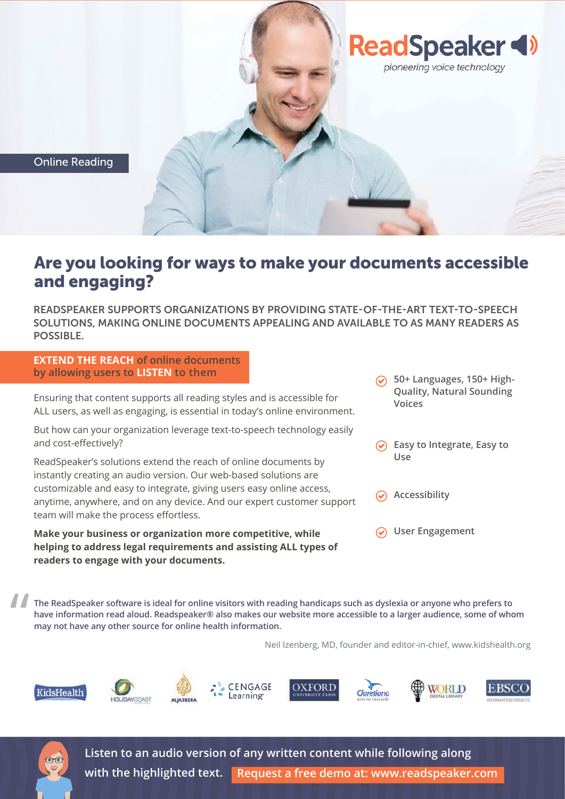

## Are you looking for ways to make your documents accessible and engaging?

READSPEAKER SUPPORTS ORGANIZATIONS BY PROVIDING STATE-OF-THE-ART TEXT-TO-SPEECH SOLUTIONS, MAKING ONLINE DOCUMENTS APPEALING AND AVAILABLE TO AS MANY READERS AS POSSIBLE.

**EXTEND THE REACH of online documents by allowing users to LISTEN to them** 

Ensuring that content supports all reading styles and is accessible for ALL users, as well as engaging, is essential in today's online environment.

But how can your organization leverage text-to-speech technology easily and cost-effectively?

ReadSpeaker's solutions extend the reach of online documents by instantly creating an audio version. Our web-based solutions are customizable and easy to integrate, giving users easy online access, anytime, anywhere, and on any device. And our expert customer support team will make the process effortless.

**Make your business or organization more competitive, while helping to address legal requirements and assisting ALL types of readers to engage with your documents.**

- **Quality, Natural Sounding Voices**
- **Easy to Integrate, Easy to Use**

**Accessibility**

**User Engagement**

**" The ReadSpeaker software is ideal for online visitors with reading handicaps such as dyslexia or anyone who prefers to have information read aloud. Readspeaker® also makes our website more accessible to a larger audience, some of whom may not have any other source for online health information.**

Neil Izenberg, MD, founder and editor-in-chief, www.kidshealth.org















**Listen to an audio version of any written content while following along with the highlighted text. Request a free demo at: www.readspeaker.com**